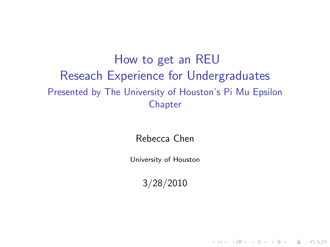<span id="page-0-0"></span>How to get an REU Reseach Experience for Undergraduates Presented by The University of Houston's Pi Mu Epsilon **Chapter** 

Rebecca Chen

University of Houston

3/28/2010

K ロ ▶ K @ ▶ K 할 > K 할 > 1 할 > 1 이익어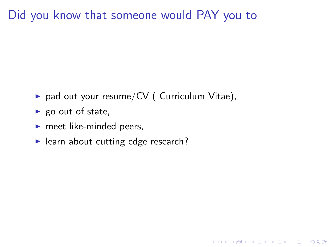### Did you know that someone would PAY you to

 $\triangleright$  pad out your resume/CV ( Curriculum Vitae),

K ロ ▶ K @ ▶ K 할 > K 할 > 1 할 > 1 이익어

- $\blacktriangleright$  go out of state,
- $\blacktriangleright$  meet like-minded peers,
- $\blacktriangleright$  learn about cutting edge research?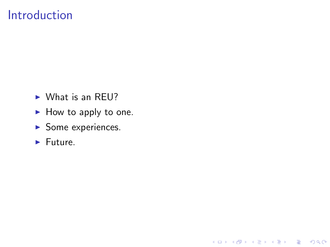### Introduction

- $\triangleright$  What is an REU?
- $\blacktriangleright$  How to apply to one.

K ロ X イロ X K ミ X K ミ X ミ → S V C Y C

- $\blacktriangleright$  Some experiences.
- $\blacktriangleright$  Future.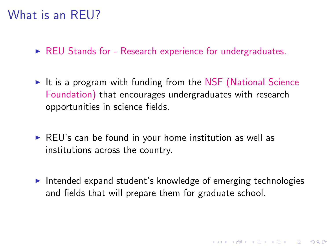### What is an REU?

- $\triangleright$  [REU Stands for Research experience for undergraduates.](http://www.nsf.gov/crssprgm/reu/)
- It is a program with funding from the [NSF \(National Science](http://www.nsf.gov/) [Foundation\)](http://www.nsf.gov/) that encourages undergraduates with research opportunities in science fields.
- $\triangleright$  REU's can be found in your home institution as well as institutions across the country.
- $\triangleright$  Intended expand student's knowledge of emerging technologies and fields that will prepare them for graduate school.

4 D > 4 P + 4 B + 4 B + B + 9 Q O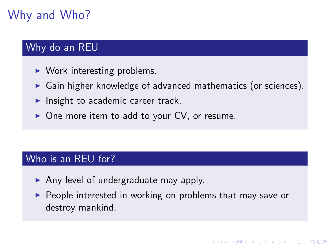# Why and Who?

#### Why do an REU

- $\triangleright$  Work interesting problems.
- $\triangleright$  Gain higher knowledge of advanced mathematics (or sciences).
- Insight to academic career track.
- $\triangleright$  One more item to add to your CV, or resume.

#### Who is an REU for?

- Any level of undergraduate may apply.
- $\triangleright$  People interested in working on problems that may save or destroy mankind.

**KORK ERKER ADE YOUR**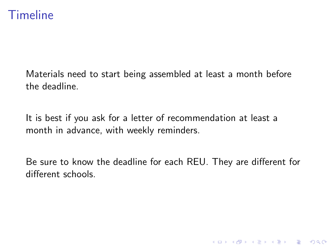### **Timeline**

Materials need to start being assembled at least a month before the deadline.

It is best if you ask for a letter of recommendation at least a month in advance, with weekly reminders.

Be sure to know the deadline for each REU. They are different for different schools.

K ロ ▶ K @ ▶ K 할 > K 할 > 1 할 > 1 이익어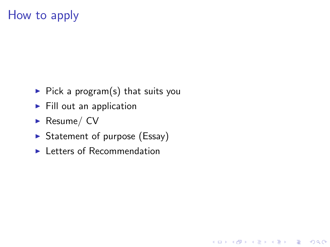## How to apply

- $\triangleright$  Pick a program(s) that suits you
- $\blacktriangleright$  Fill out an application
- Resume/ $CV$
- $\triangleright$  Statement of purpose (Essay)

K ロ ▶ K @ ▶ K 할 > K 할 > 1 할 > 1 이익어

 $\blacktriangleright$  Letters of Recommendation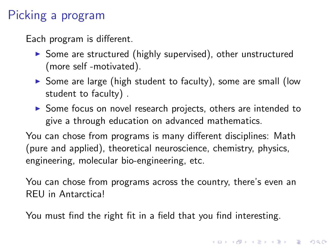## Picking a program

Each program is different.

- $\triangleright$  Some are structured (highly supervised), other unstructured (more self -motivated).
- $\triangleright$  Some are large (high student to faculty), some are small (low student to faculty) .
- $\triangleright$  Some focus on novel research projects, others are intended to give a through education on advanced mathematics.

You can chose from programs is many different disciplines: Math (pure and applied), theoretical neuroscience, chemistry, physics, engineering, molecular bio-engineering, etc.

You can chose from programs across the country, there's even an REU in Antarctica!

You must find the right fit in a field that you find interesting.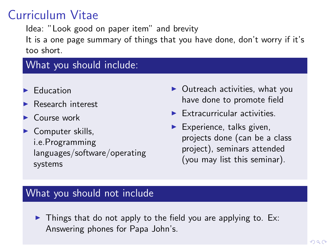## Curriculum Vitae

Idea: "Look good on paper item" and brevity It is a one page summary of things that you have done, don't worry if it's too short.

#### What you should include:

- $\blacktriangleright$  Education
- $\blacktriangleright$  Research interest
- $\triangleright$  Course work
- $\triangleright$  Computer skills, i.e.Programming languages/software/operating systems
- $\blacktriangleright$  Outreach activities, what you have done to promote field
- $\blacktriangleright$  Extracurricular activities.
- $\blacktriangleright$  Experience, talks given, projects done (can be a class project), seminars attended (you may list this seminar).

#### What you should not include

 $\triangleright$  Things that do not apply to the field you are applying to. Ex: Answering phones for Papa John's.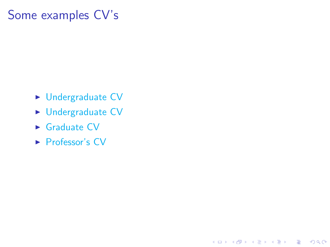### Some examples CV's

- $\blacktriangleright$  [Undergraduate CV](#page-0-0)
- $\blacktriangleright$  [Undergraduate CV](#page-0-0)

K ロ ▶ K @ ▶ K 할 > K 할 > 1 할 > 1 이익어

- $\blacktriangleright$  [Graduate CV](#page-0-0)
- $\blacktriangleright$  [Professor's CV](#page-0-0)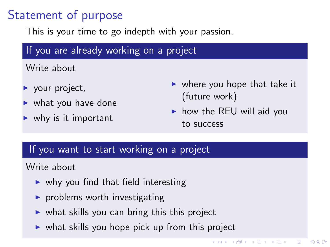## Statement of purpose

This is your time to go indepth with your passion.

#### If you are already working on a project

Write about

- $\blacktriangleright$  your project,
- $\blacktriangleright$  what you have done
- $\blacktriangleright$  why is it important
- $\triangleright$  where you hope that take it (future work)
- $\blacktriangleright$  how the REU will aid you to success

**K ロ メ イ 田 メ モ メ イ ヨ メ ニ ヨ** 

 $2990$ 

#### If you want to start working on a project

#### Write about

- $\triangleright$  why you find that field interesting
- $\triangleright$  problems worth investigating
- $\triangleright$  what skills you can bring this this project
- $\triangleright$  what skills you hope pick up from this project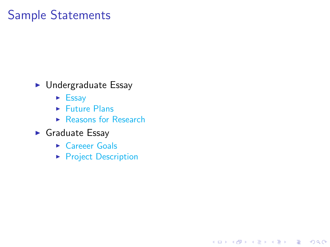## Sample Statements

- $\blacktriangleright$  Undergraduate Essay
	- $\blacktriangleright$  [Essay](#page-0-0)
	- $\blacktriangleright$  [Future Plans](#page-0-0)
	- $\blacktriangleright$  [Reasons for Research](#page-0-0)
- $\blacktriangleright$  Graduate Essay
	- $\triangleright$  [Careeer Goals](#page-0-0)
	- **[Project Description](#page-0-0)**

K ロ ▶ K @ ▶ K 할 > K 할 > 1 할 > 1 이익어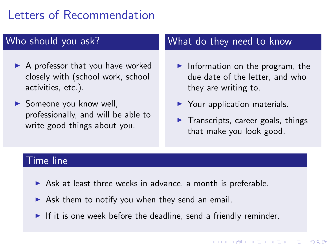## Letters of Recommendation

#### Who should you ask?

- $\blacktriangleright$  A professor that you have worked closely with (school work, school activities, etc.).
- $\triangleright$  Someone you know well. professionally, and will be able to write good things about you.

#### What do they need to know

- Information on the program, the due date of the letter, and who they are writing to.
- $\blacktriangleright$  Your application materials.
- $\blacktriangleright$  Transcripts, career goals, things that make you look good.

**KORK ERKER ADE YOUR** 

#### Time line

- $\triangleright$  Ask at least three weeks in advance, a month is preferable.
- $\triangleright$  Ask them to notify you when they send an email.
- If it is one week before the deadline, send a friendly reminder.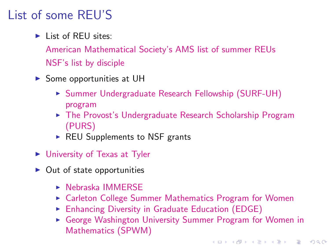## List of some REU'S

 $\blacktriangleright$  List of REU sites:

[American Mathematical Society's AMS list of summer REUs](http://www.ams.org/programs/students/undergrad/emp-reu) [NSF's list by disciple](http://www.nsf.gov/crssprgm/reu/reu_search.cfm)

- $\triangleright$  Some opportunities at UH
	- ► [Summer Undergraduate Research Fellowship \(SURF-UH\)](http://uh.edu/honors/undergraduate-research/uh-research/surf/index.php) [program](http://uh.edu/honors/undergraduate-research/uh-research/surf/index.php)
	- ► [The Provost's Undergraduate Research Scholarship Program](http://uh.edu/honors/undergraduate-research/uh-research/purs/) [\(PURS\)](http://uh.edu/honors/undergraduate-research/uh-research/purs/)
	- $\triangleright$  REU Supplements to NSF grants
- $\blacktriangleright$  [University of Texas at Tyler](http://www.math.uttyler.edu/reu/)
- $\triangleright$  Out of state opportunities
	- $\triangleright$  [Nebraska IMMERSE](http://www.math.unl.edu/programs/mctp/immerse/)
	- ► [Carleton College Summer Mathematics Program for Women](http://www.math.carleton.edu/smp/)
	- $\triangleright$  [Enhancing Diversity in Graduate Education \(EDGE\)](http://www.edgeforwomen.org/)
	- ► [George Washington University Summer Program for Women in](http://www.gwu.edu/~spwm/) [Mathematics \(SPWM\)](http://www.gwu.edu/~spwm/)

**KORK STRATER STRAKER**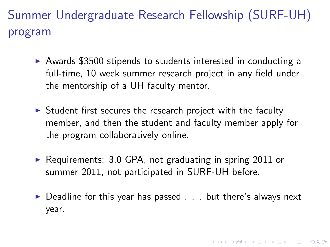Summer Undergraduate Research Fellowship (SURF-UH) program

- Awards \$3500 stipends to students interested in conducting a full-time, 10 week summer research project in any field under the mentorship of a UH faculty mentor.
- $\triangleright$  Student first secures the research project with the faculty member, and then the student and faculty member apply for the program collaboratively online.
- $\triangleright$  Requirements: 3.0 GPA, not graduating in spring 2011 or summer 2011, not participated in SURF-UH before.
- $\triangleright$  Deadline for this year has passed . . . but there's always next year.

4 D > 4 P + 4 B + 4 B + B + 9 Q O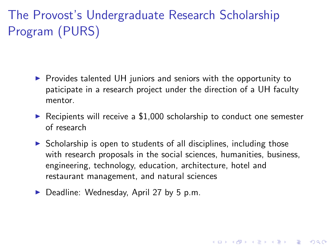# The Provost's Undergraduate Research Scholarship Program (PURS)

- $\triangleright$  Provides talented UH juniors and seniors with the opportunity to paticipate in a research project under the direction of a UH faculty mentor.
- $\triangleright$  Recipients will receive a \$1,000 scholarship to conduct one semester of research
- $\triangleright$  Scholarship is open to students of all disciplines, including those with research proposals in the social sciences, humanities, business, engineering, technology, education, architecture, hotel and restaurant management, and natural sciences

4 D > 4 P + 4 B + 4 B + B + 9 Q O

 $\triangleright$  Deadline: Wednesday, April 27 by 5 p.m.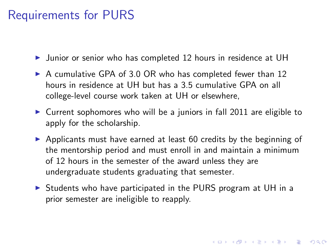### Requirements for PURS

 $\triangleright$  Junior or senior who has completed 12 hours in residence at UH

- $\triangleright$  A cumulative GPA of 3.0 OR who has completed fewer than 12 hours in residence at UH but has a 3.5 cumulative GPA on all college-level course work taken at UH or elsewhere,
- $\triangleright$  Current sophomores who will be a juniors in fall 2011 are eligible to apply for the scholarship.
- $\triangleright$  Applicants must have earned at least 60 credits by the beginning of the mentorship period and must enroll in and maintain a minimum of 12 hours in the semester of the award unless they are undergraduate students graduating that semester.
- $\triangleright$  Students who have participated in the PURS program at UH in a prior semester are ineligible to reapply.

4 D > 4 P + 4 B + 4 B + B + 9 Q O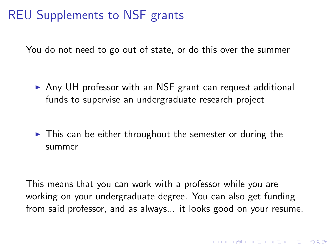## REU Supplements to NSF grants

You do not need to go out of state, or do this over the summer

- ▶ Any UH professor with an NSF grant can request additional funds to supervise an undergraduate research project
- $\triangleright$  This can be either throughout the semester or during the summer

This means that you can work with a professor while you are working on your undergraduate degree. You can also get funding from said professor, and as always... it looks good on your resume.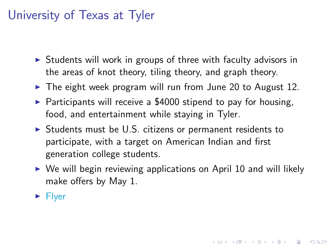## University of Texas at Tyler

- $\triangleright$  Students will work in groups of three with faculty advisors in the areas of knot theory, tiling theory, and graph theory.
- $\triangleright$  The eight week program will run from June 20 to August 12.
- $\triangleright$  Participants will receive a \$4000 stipend to pay for housing, food, and entertainment while staying in Tyler.
- $\triangleright$  Students must be U.S. citizens or permanent residents to participate, with a target on American Indian and first generation college students.
- $\triangleright$  We will begin reviewing applications on April 10 and will likely make offers by May 1.

4 D > 4 P + 4 B + 4 B + B + 9 Q O

 $\blacktriangleright$  [Flyer](#page-0-0)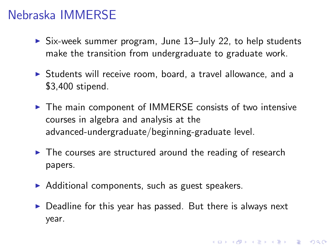### Nebraska IMMERSE

- $\triangleright$  Six-week summer program, June 13-July 22, to help students make the transition from undergraduate to graduate work.
- $\triangleright$  Students will receive room, board, a travel allowance, and a \$3,400 stipend.
- $\triangleright$  The main component of IMMERSE consists of two intensive courses in algebra and analysis at the advanced-undergraduate/beginning-graduate level.
- $\blacktriangleright$  The courses are structured around the reading of research papers.
- $\triangleright$  Additional components, such as guest speakers.
- $\triangleright$  Deadline for this year has passed. But there is always next year.

4 D > 4 P + 4 B + 4 B + B + 9 Q O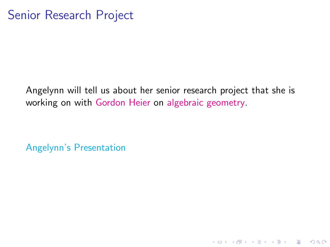Angelynn will tell us about her senior research project that she is working on with [Gordon Heier](http://www.math.uh.edu/~heier/) on [algebraic geometry.](http://en.wikipedia.org/wiki/Algebraic_geometry)

K ロ ▶ K @ ▶ K 할 > K 할 > 1 할 > 1 이익어

[Angelynn's Presentation](#page-0-0)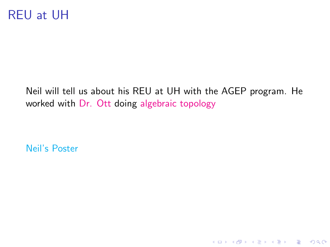## REU at UH

Neil will tell us about his REU at UH with the AGEP program. He worked with [Dr. Ott](http://math.uh.edu/~ott/) doing [algebraic topology](http://en.wikipedia.org/wiki/Algebraic_topology )

K ロ ▶ K @ ▶ K 할 ▶ K 할 ▶ | 할 | © 9 Q @

[Neil's Poster](#page-0-0)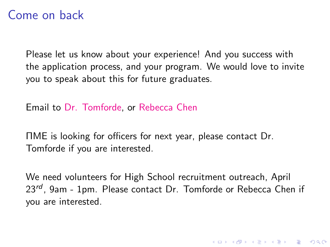### Come on back

Please let us know about your experience! And you success with the application process, and your program. We would love to invite you to speak about this for future graduates.

Email to [Dr. Tomforde,](http://math.uh.edu/~tomforde) or [Rebecca Chen](http://math.uh.edu/~rlchen)

ΠME is looking for officers for next year, please contact Dr. Tomforde if you are interested.

We need volunteers for High School recruitment outreach, April  $23^{rd}$ . 9am - 1pm. Please contact Dr. Tomforde or Rebecca Chen if you are interested.

4 D > 4 P + 4 B + 4 B + B + 9 Q O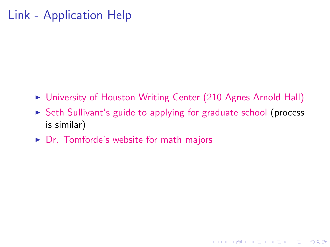## Link - Application Help

- ▶ [University of Houston Writing Center \(210 Agnes Arnold Hall\)](http://www.uh.edu/writecen/)
- $\triangleright$  [Seth Sullivant's guide to applying for graduate school](http://www4.ncsu.edu/~smsulli2/Slides/GradFellow.pdf) (process is similar)

K ロ ▶ K @ ▶ K 할 > K 할 > 1 할 > 1 이익어

 $\triangleright$  [Dr. Tomforde's website for math majors](http://math.uh.edu/~tomforde/mathmajors.html)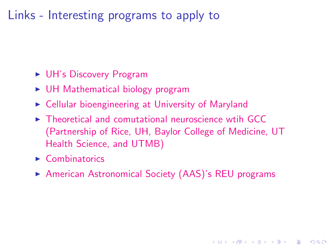### Links - Interesting programs to apply to

- $\triangleright$  [UH's Discovery Program](http://www.uh.edu/discovery/eDISCOVERY.html)
- $\triangleright$  [UH Mathematical biology program]( http://www.math.uh.edu/~canic/REUflyer.html )
- $\triangleright$  [Cellular bioengineering at University of Maryland](http://www.bioe.umd.edu/reu/index.html )
- $\triangleright$  [Theoretical and comutational neuroscience wtih GCC](http://www.math.uh.edu/~josic/GCC11-2008_posterLetterSize_v02.pdf) [\(Partnership of Rice, UH, Baylor College of Medicine, UT](http://www.math.uh.edu/~josic/GCC11-2008_posterLetterSize_v02.pdf) [Health Science, and UTMB\)](http://www.math.uh.edu/~josic/GCC11-2008_posterLetterSize_v02.pdf)
- $\blacktriangleright$  [Combinatorics](http://www.math.umn.edu/~reiner/REU/REU.html )
- ▶ [American Astronomical Society \(AAS\)'s REU programs](http://aas.org/education/REU.php)

**KORK ERKER ADE YOUR**